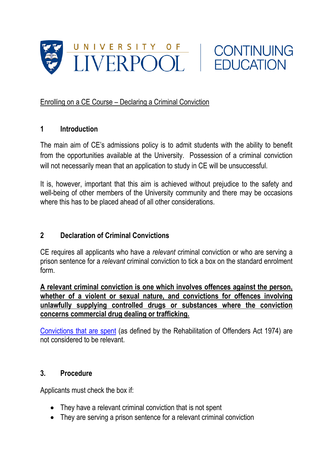



## Enrolling on a CE Course – Declaring a Criminal Conviction

## **1 Introduction**

The main aim of CE's admissions policy is to admit students with the ability to benefit from the opportunities available at the University. Possession of a criminal conviction will not necessarily mean that an application to study in CE will be unsuccessful.

It is, however, important that this aim is achieved without prejudice to the safety and well-being of other members of the University community and there may be occasions where this has to be placed ahead of all other considerations.

## **2 Declaration of Criminal Convictions**

CE requires all applicants who have a *relevant* criminal conviction or who are serving a prison sentence for a *relevant* criminal conviction to tick a box on the standard enrolment form.

**A relevant criminal conviction is one which involves offences against the person, whether of a violent or sexual nature, and convictions for offences involving unlawfully supplying controlled drugs or substances where the conviction concerns commercial drug dealing or trafficking.** 

[Convictions that are spent](https://www.askthe.police.uk/Content/Q89.htm) (as defined by the Rehabilitation of Offenders Act 1974) are not considered to be relevant.

## **3. Procedure**

Applicants must check the box if:

- They have a relevant criminal conviction that is not spent
- They are serving a prison sentence for a relevant criminal conviction